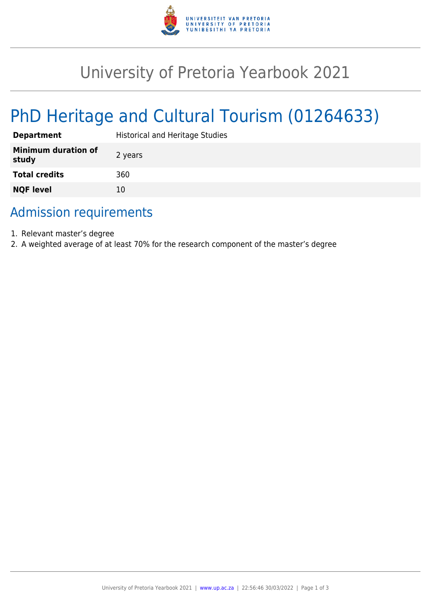

## University of Pretoria Yearbook 2021

# PhD Heritage and Cultural Tourism (01264633)

| <b>Department</b>                   | <b>Historical and Heritage Studies</b> |
|-------------------------------------|----------------------------------------|
| <b>Minimum duration of</b><br>study | 2 years                                |
| <b>Total credits</b>                | 360                                    |
| <b>NQF level</b>                    | 10                                     |

## Admission requirements

- 1. Relevant master's degree
- 2. A weighted average of at least 70% for the research component of the master's degree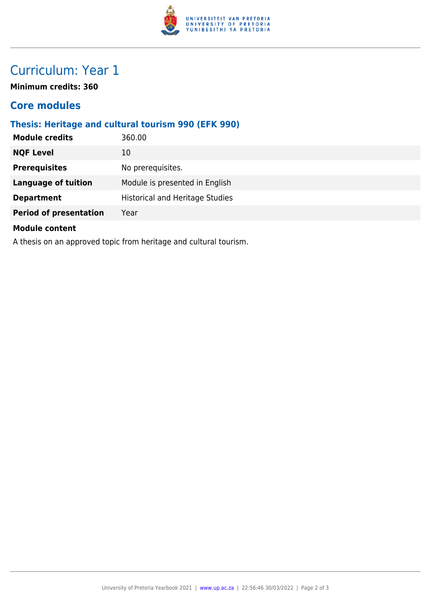

## Curriculum: Year 1

**Minimum credits: 360**

#### **Core modules**

#### **Thesis: Heritage and cultural tourism 990 (EFK 990)**

| <b>Module credits</b>         | 360.00                                 |
|-------------------------------|----------------------------------------|
| <b>NQF Level</b>              | 10                                     |
| <b>Prerequisites</b>          | No prerequisites.                      |
| <b>Language of tuition</b>    | Module is presented in English         |
| <b>Department</b>             | <b>Historical and Heritage Studies</b> |
| <b>Period of presentation</b> | Year                                   |
| <b>Module content</b>         |                                        |

A thesis on an approved topic from heritage and cultural tourism.